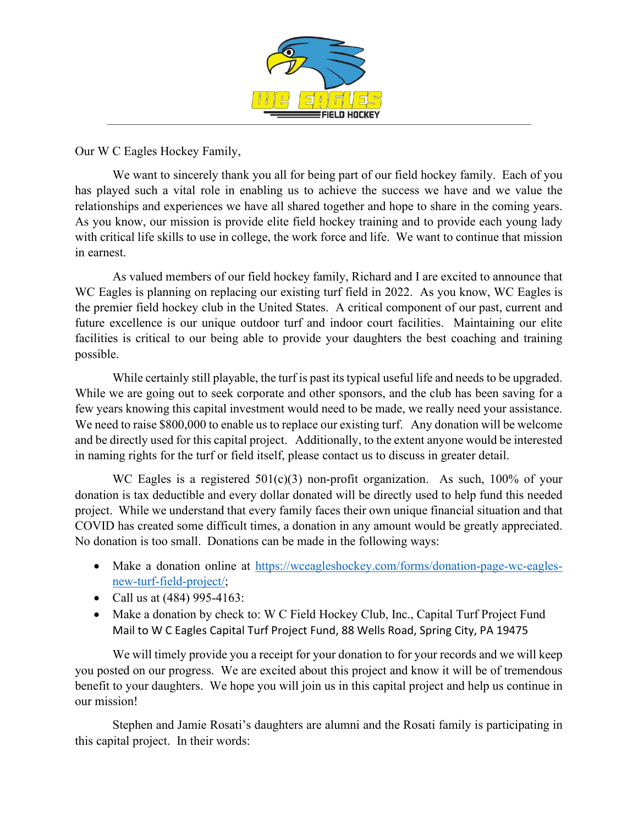

Our W C Eagles Hockey Family,

We want to sincerely thank you all for being part of our field hockey family. Each of you has played such a vital role in enabling us to achieve the success we have and we value the relationships and experiences we have all shared together and hope to share in the coming years. As you know, our mission is provide elite field hockey training and to provide each young lady with critical life skills to use in college, the work force and life. We want to continue that mission in earnest.

As valued members of our field hockey family, Richard and I are excited to announce that WC Eagles is planning on replacing our existing turf field in 2022. As you know, WC Eagles is the premier field hockey club in the United States. A critical component of our past, current and future excellence is our unique outdoor turf and indoor court facilities. Maintaining our elite facilities is critical to our being able to provide your daughters the best coaching and training possible.

While certainly still playable, the turf is past its typical useful life and needs to be upgraded. While we are going out to seek corporate and other sponsors, and the club has been saving for a few years knowing this capital investment would need to be made, we really need your assistance. We need to raise \$800,000 to enable us to replace our existing turf. Any donation will be welcome and be directly used for this capital project. Additionally, to the extent anyone would be interested in naming rights for the turf or field itself, please contact us to discuss in greater detail.

WC Eagles is a registered  $501(c)(3)$  non-profit organization. As such, 100% of your donation is tax deductible and every dollar donated will be directly used to help fund this needed project. While we understand that every family faces their own unique financial situation and that COVID has created some difficult times, a donation in any amount would be greatly appreciated. No donation is too small. Donations can be made in the following ways:

- Make a donation online at [https://wceagleshockey.com/forms/donation-page-wc-eagles](https://wceagleshockey.com/forms/donation-page-wc-eagles-new-turf-field-project/)[new-turf-field-project/;](https://wceagleshockey.com/forms/donation-page-wc-eagles-new-turf-field-project/)
- Call us at (484) 995-4163:
- Make a donation by check to: W C Field Hockey Club, Inc., Capital Turf Project Fund Mail to W C Eagles Capital Turf Project Fund, 88 Wells Road, Spring City, PA 19475

We will timely provide you a receipt for your donation to for your records and we will keep you posted on our progress. We are excited about this project and know it will be of tremendous benefit to your daughters. We hope you will join us in this capital project and help us continue in our mission!

Stephen and Jamie Rosati's daughters are alumni and the Rosati family is participating in this capital project. In their words: